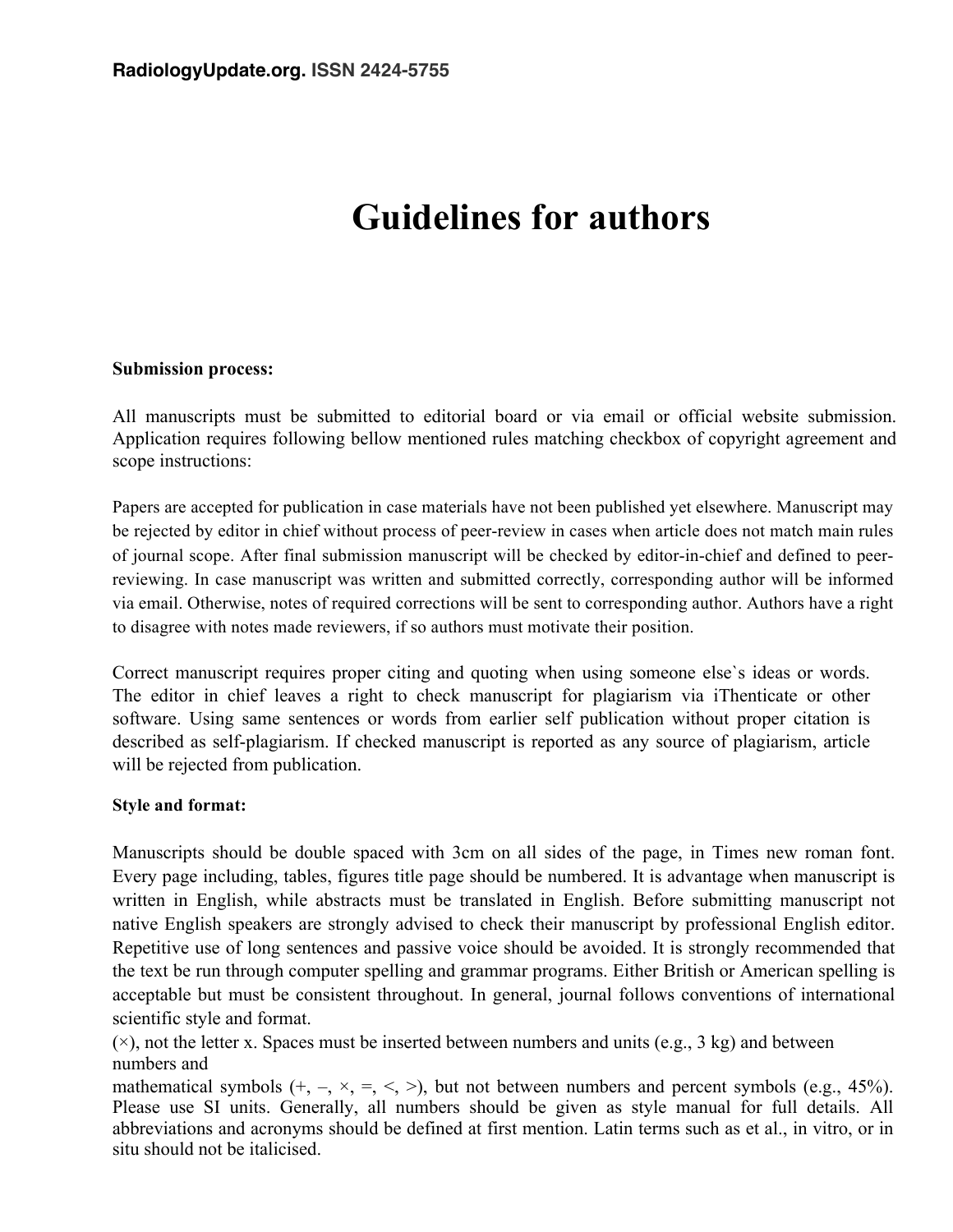# **Guidelines for authors**

#### **Submission process:**

All manuscripts must be submitted to editorial board or via email or official website submission. Application requires following bellow mentioned rules matching checkbox of copyright agreement and scope instructions:

Papers are accepted for publication in case materials have not been published yet elsewhere. Manuscript may be rejected by editor in chief without process of peer-review in cases when article does not match main rules of journal scope. After final submission manuscript will be checked by editor-in-chief and defined to peerreviewing. In case manuscript was written and submitted correctly, corresponding author will be informed via email. Otherwise, notes of required corrections will be sent to corresponding author. Authors have a right to disagree with notes made reviewers, if so authors must motivate their position.

Correct manuscript requires proper citing and quoting when using someone else`s ideas or words. The editor in chief leaves a right to check manuscript for plagiarism via iThenticate or other software. Using same sentences or words from earlier self publication without proper citation is described as self-plagiarism. If checked manuscript is reported as any source of plagiarism, article will be rejected from publication.

## **Style and format:**

Manuscripts should be double spaced with 3cm on all sides of the page, in Times new roman font. Every page including, tables, figures title page should be numbered. It is advantage when manuscript is written in English, while abstracts must be translated in English. Before submitting manuscript not native English speakers are strongly advised to check their manuscript by professional English editor. Repetitive use of long sentences and passive voice should be avoided. It is strongly recommended that the text be run through computer spelling and grammar programs. Either British or American spelling is acceptable but must be consistent throughout. In general, journal follows conventions of international scientific style and format.

 $(x)$ , not the letter x. Spaces must be inserted between numbers and units (e.g., 3 kg) and between numbers and

mathematical symbols  $(+, -, \times, =, <)$ , but not between numbers and percent symbols (e.g., 45%). Please use SI units. Generally, all numbers should be given as style manual for full details. All abbreviations and acronyms should be defined at first mention. Latin terms such as et al., in vitro, or in situ should not be italicised.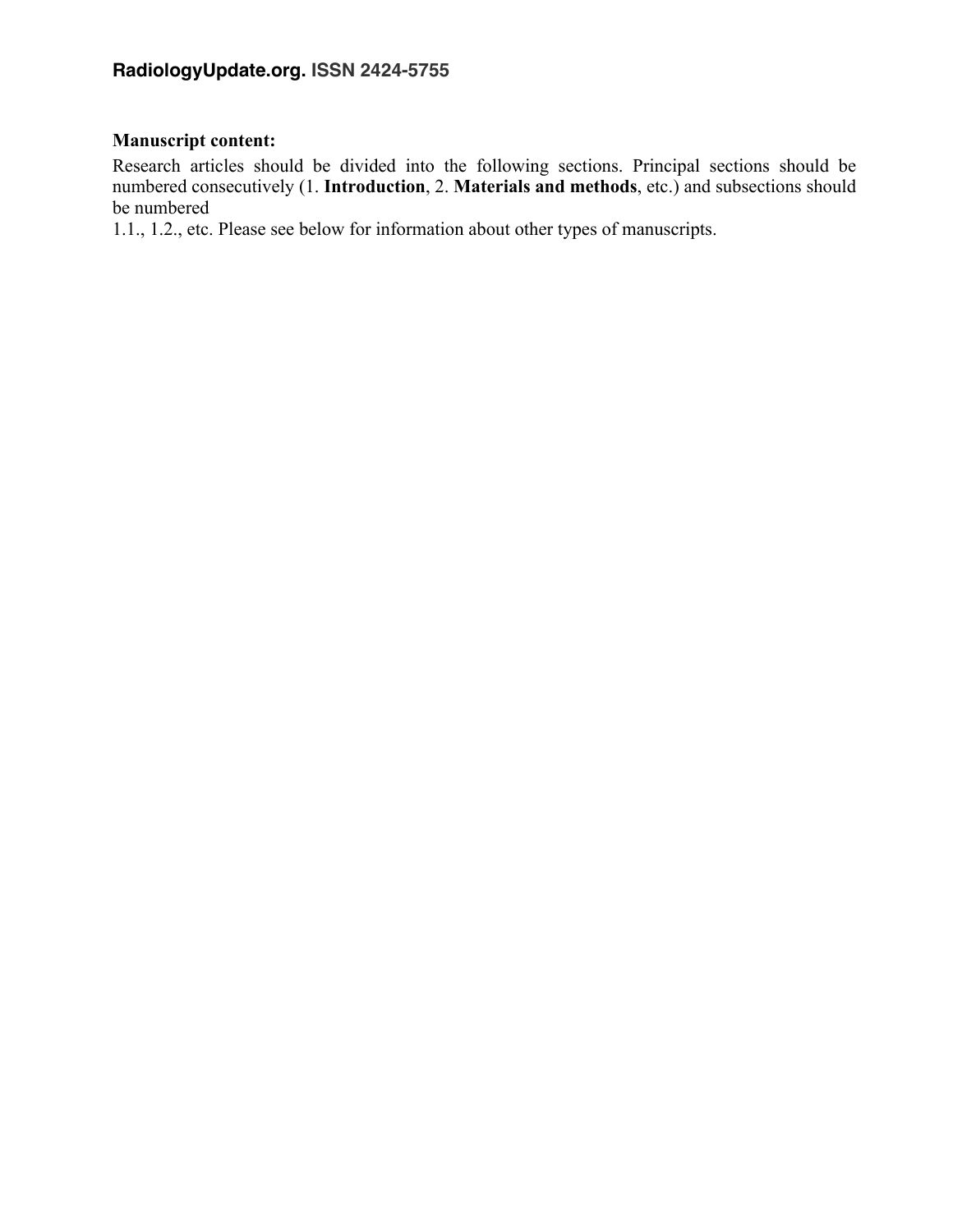# **Manuscript content:**

Research articles should be divided into the following sections. Principal sections should be numbered consecutively (1. **Introduction**, 2. **Materials and methods**, etc.) and subsections should be numbered

1.1., 1.2., etc. Please see below for information about other types of manuscripts.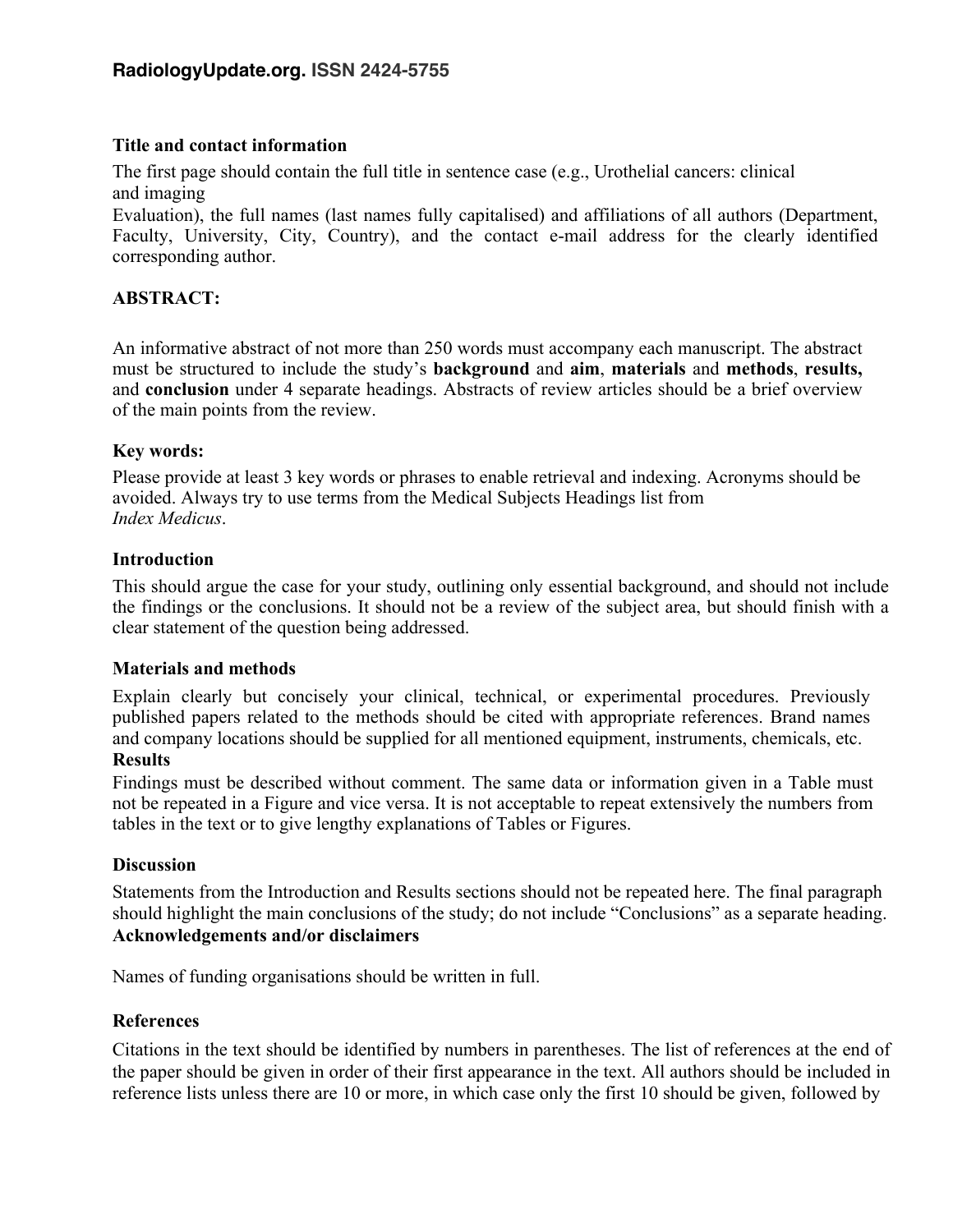#### **Title and contact information**

The first page should contain the full title in sentence case (e.g., Urothelial cancers: clinical and imaging

Evaluation), the full names (last names fully capitalised) and affiliations of all authors (Department, Faculty, University, City, Country), and the contact e-mail address for the clearly identified corresponding author.

## **ABSTRACT:**

An informative abstract of not more than 250 words must accompany each manuscript. The abstract must be structured to include the study's **background** and **aim**, **materials** and **methods**, **results,** and **conclusion** under 4 separate headings. Abstracts of review articles should be a brief overview of the main points from the review.

#### **Key words:**

Please provide at least 3 key words or phrases to enable retrieval and indexing. Acronyms should be avoided. Always try to use terms from the Medical Subjects Headings list from *Index Medicus*.

#### **Introduction**

This should argue the case for your study, outlining only essential background, and should not include the findings or the conclusions. It should not be a review of the subject area, but should finish with a clear statement of the question being addressed.

#### **Materials and methods**

Explain clearly but concisely your clinical, technical, or experimental procedures. Previously published papers related to the methods should be cited with appropriate references. Brand names and company locations should be supplied for all mentioned equipment, instruments, chemicals, etc.

#### **Results**

Findings must be described without comment. The same data or information given in a Table must not be repeated in a Figure and vice versa. It is not acceptable to repeat extensively the numbers from tables in the text or to give lengthy explanations of Tables or Figures.

#### **Discussion**

Statements from the Introduction and Results sections should not be repeated here. The final paragraph should highlight the main conclusions of the study; do not include "Conclusions" as a separate heading. **Acknowledgements and/or disclaimers**

Names of funding organisations should be written in full.

#### **References**

Citations in the text should be identified by numbers in parentheses. The list of references at the end of the paper should be given in order of their first appearance in the text. All authors should be included in reference lists unless there are 10 or more, in which case only the first 10 should be given, followed by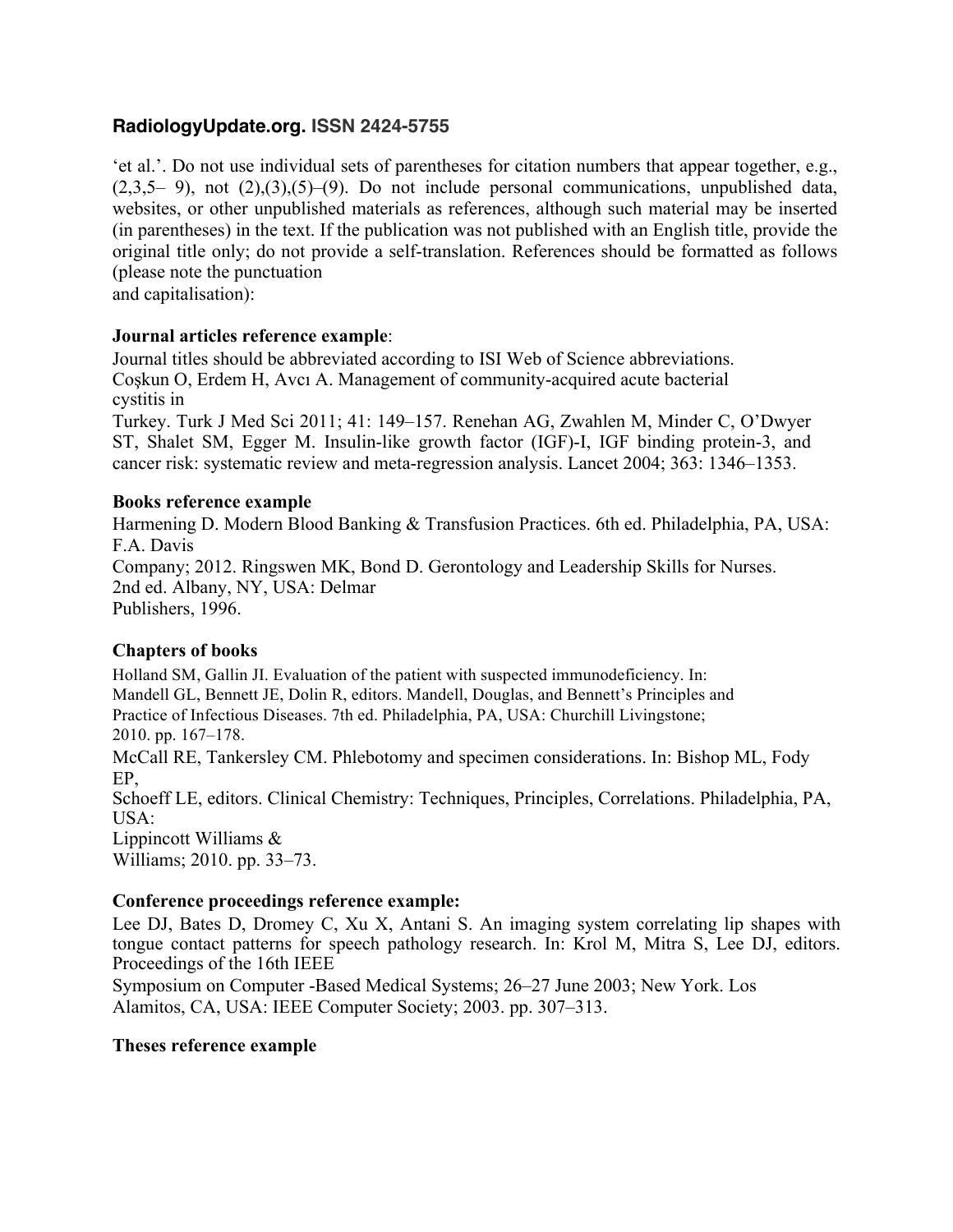'et al.'. Do not use individual sets of parentheses for citation numbers that appear together, e.g.,  $(2,3,5-9)$ , not  $(2),(3),(5)-(9)$ . Do not include personal communications, unpublished data, websites, or other unpublished materials as references, although such material may be inserted (in parentheses) in the text. If the publication was not published with an English title, provide the original title only; do not provide a self-translation. References should be formatted as follows (please note the punctuation

and capitalisation):

#### **Journal articles reference example**:

Journal titles should be abbreviated according to ISI Web of Science abbreviations. Coşkun O, Erdem H, Avcı A. Management of community-acquired acute bacterial cystitis in

Turkey. Turk J Med Sci 2011; 41: 149–157. Renehan AG, Zwahlen M, Minder C, O'Dwyer ST, Shalet SM, Egger M. Insulin-like growth factor (IGF)-I, IGF binding protein-3, and cancer risk: systematic review and meta-regression analysis. Lancet 2004; 363: 1346–1353.

#### **Books reference example**

Harmening D. Modern Blood Banking & Transfusion Practices. 6th ed. Philadelphia, PA, USA: F.A. Davis Company; 2012. Ringswen MK, Bond D. Gerontology and Leadership Skills for Nurses. 2nd ed. Albany, NY, USA: Delmar Publishers, 1996.

## **Chapters of books**

Holland SM, Gallin JI. Evaluation of the patient with suspected immunodeficiency. In: Mandell GL, Bennett JE, Dolin R, editors. Mandell, Douglas, and Bennett's Principles and Practice of Infectious Diseases. 7th ed. Philadelphia, PA, USA: Churchill Livingstone; 2010. pp. 167–178.

McCall RE, Tankersley CM. Phlebotomy and specimen considerations. In: Bishop ML, Fody EP,

Schoeff LE, editors. Clinical Chemistry: Techniques, Principles, Correlations. Philadelphia, PA, USA:

Lippincott Williams & Williams; 2010. pp. 33–73.

## **Conference proceedings reference example:**

Lee DJ, Bates D, Dromey C, Xu X, Antani S. An imaging system correlating lip shapes with tongue contact patterns for speech pathology research. In: Krol M, Mitra S, Lee DJ, editors. Proceedings of the 16th IEEE

Symposium on Computer -Based Medical Systems; 26–27 June 2003; New York. Los Alamitos, CA, USA: IEEE Computer Society; 2003. pp. 307–313.

#### **Theses reference example**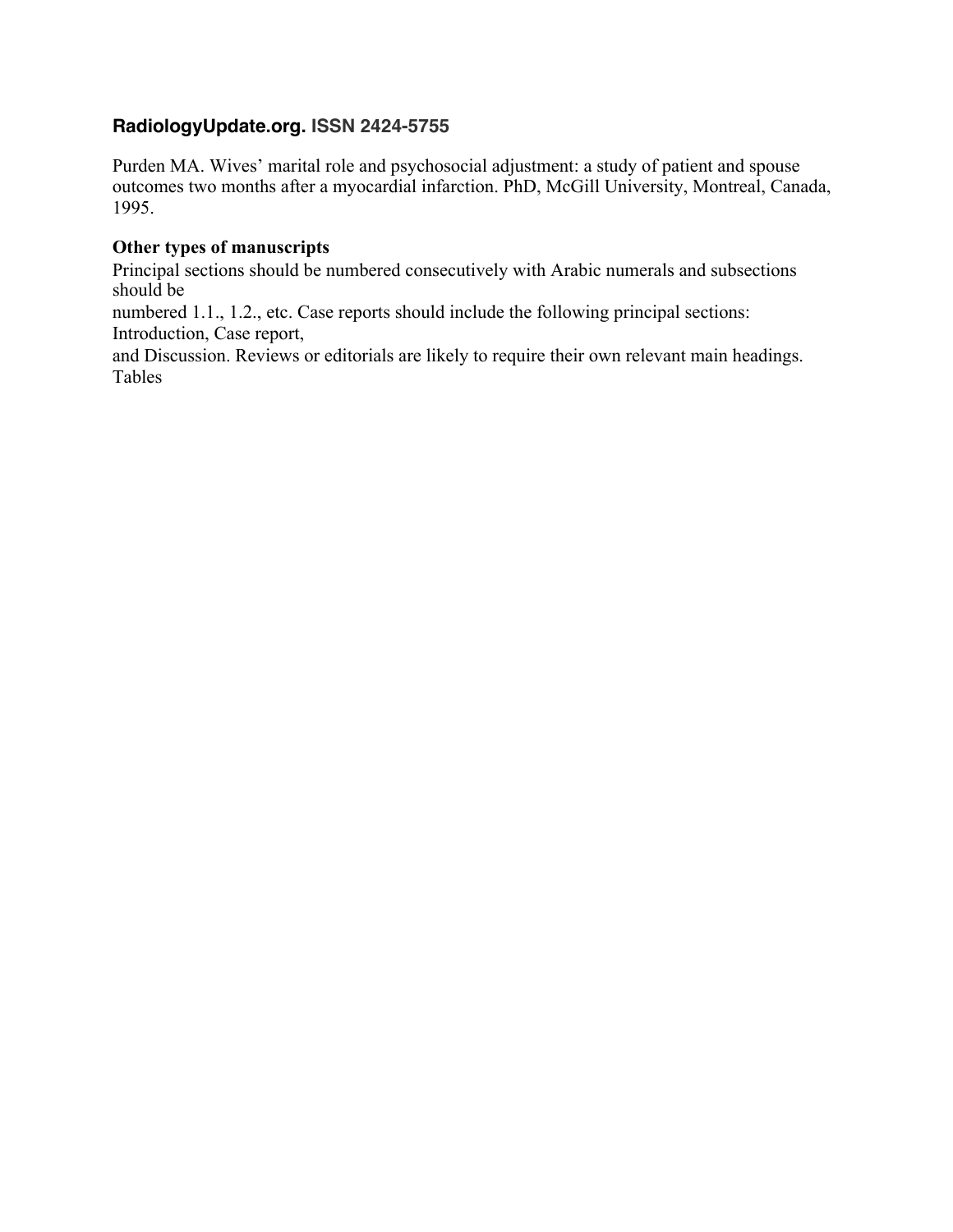Purden MA. Wives' marital role and psychosocial adjustment: a study of patient and spouse outcomes two months after a myocardial infarction. PhD, McGill University, Montreal, Canada, 1995.

## **Other types of manuscripts**

Principal sections should be numbered consecutively with Arabic numerals and subsections should be

numbered 1.1., 1.2., etc. Case reports should include the following principal sections: Introduction, Case report,

and Discussion. Reviews or editorials are likely to require their own relevant main headings. Tables